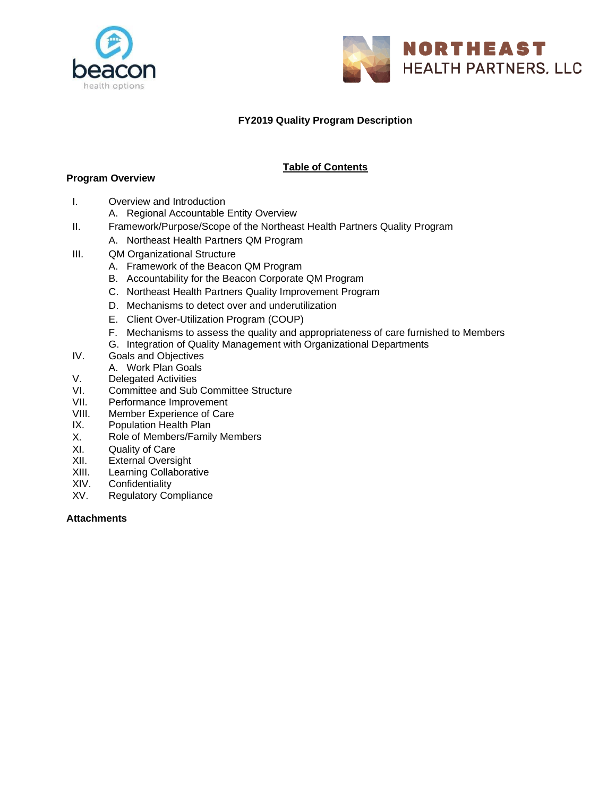



# **FY2019 Quality Program Description**

# **Table of Contents**

## **Program Overview**

- I. Overview and Introduction
	- A. Regional Accountable Entity Overview
- II. Framework/Purpose/Scope of the Northeast Health Partners Quality Program
	- A. Northeast Health Partners QM Program
- III. QM Organizational Structure
	- A. Framework of the Beacon QM Program
	- B. Accountability for the Beacon Corporate QM Program
	- C. Northeast Health Partners Quality Improvement Program
	- D. Mechanisms to detect over and underutilization
	- E. Client Over-Utilization Program (COUP)
	- F. Mechanisms to assess the quality and appropriateness of care furnished to Members
	- G. Integration of Quality Management with Organizational Departments
- IV. Goals and Objectives
	- A. Work Plan Goals
- V. Delegated Activities
- VI. Committee and Sub Committee Structure
- VII. Performance Improvement
- VIII. Member Experience of Care<br>IX. Population Health Plan
- Population Health Plan
- X. Role of Members/Family Members
- XI. Quality of Care<br>XII. External Oversi
- External Oversight
- XIII. Learning Collaborative
- XIV. Confidentiality
- XV. Regulatory Compliance

#### **Attachments**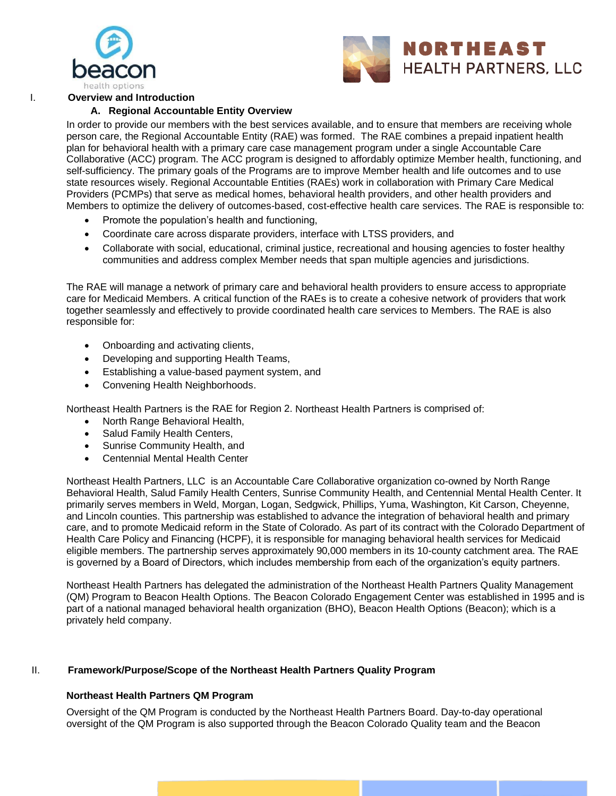



I. **Overview and Introduction**

#### **A. Regional Accountable Entity Overview**

In order to provide our members with the best services available, and to ensure that members are receiving whole person care, the Regional Accountable Entity (RAE) was formed. The RAE combines a prepaid inpatient health plan for behavioral health with a primary care case management program under a single Accountable Care Collaborative (ACC) program. The ACC program is designed to affordably optimize Member health, functioning, and self-sufficiency. The primary goals of the Programs are to improve Member health and life outcomes and to use state resources wisely. Regional Accountable Entities (RAEs) work in collaboration with Primary Care Medical Providers (PCMPs) that serve as medical homes, behavioral health providers, and other health providers and Members to optimize the delivery of outcomes-based, cost-effective health care services. The RAE is responsible to:

- Promote the population's health and functioning,
- Coordinate care across disparate providers, interface with LTSS providers, and
- Collaborate with social, educational, criminal justice, recreational and housing agencies to foster healthy communities and address complex Member needs that span multiple agencies and jurisdictions.

The RAE will manage a network of primary care and behavioral health providers to ensure access to appropriate care for Medicaid Members. A critical function of the RAEs is to create a cohesive network of providers that work together seamlessly and effectively to provide coordinated health care services to Members. The RAE is also responsible for:

- Onboarding and activating clients,
- Developing and supporting Health Teams,
- Establishing a value-based payment system, and
- Convening Health Neighborhoods.

Northeast Health Partners is the RAE for Region 2. Northeast Health Partners is comprised of:

- North Range Behavioral Health,
- Salud Family Health Centers,
- Sunrise Community Health, and
- Centennial Mental Health Center

Northeast Health Partners, LLC is an Accountable Care Collaborative organization co-owned by North Range Behavioral Health, Salud Family Health Centers, Sunrise Community Health, and Centennial Mental Health Center. It primarily serves members in Weld, Morgan, Logan, Sedgwick, Phillips, Yuma, Washington, Kit Carson, Cheyenne, and Lincoln counties. This partnership was established to advance the integration of behavioral health and primary care, and to promote Medicaid reform in the State of Colorado. As part of its contract with the Colorado Department of Health Care Policy and Financing (HCPF), it is responsible for managing behavioral health services for Medicaid eligible members. The partnership serves approximately 90,000 members in its 10-county catchment area. The RAE is governed by a Board of Directors, which includes membership from each of the organization's equity partners.

Northeast Health Partners has delegated the administration of the Northeast Health Partners Quality Management (QM) Program to Beacon Health Options. The Beacon Colorado Engagement Center was established in 1995 and is part of a national managed behavioral health organization (BHO), Beacon Health Options (Beacon); which is a privately held company.

#### II. **Framework/Purpose/Scope of the Northeast Health Partners Quality Program**

#### **Northeast Health Partners QM Program**

Oversight of the QM Program is conducted by the Northeast Health Partners Board. Day-to-day operational oversight of the QM Program is also supported through the Beacon Colorado Quality team and the Beacon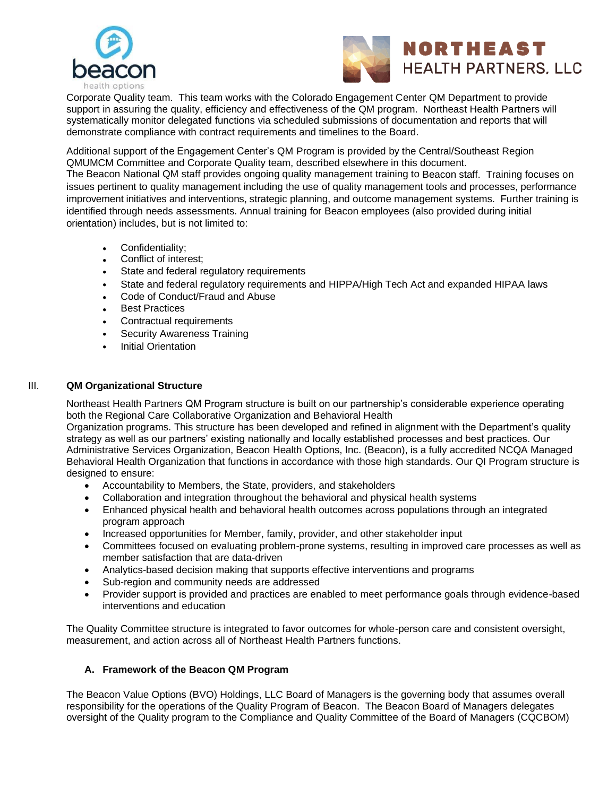



Corporate Quality team. This team works with the Colorado Engagement Center QM Department to provide support in assuring the quality, efficiency and effectiveness of the QM program. Northeast Health Partners will systematically monitor delegated functions via scheduled submissions of documentation and reports that will demonstrate compliance with contract requirements and timelines to the Board.

Additional support of the Engagement Center's QM Program is provided by the Central/Southeast Region QMUMCM Committee and Corporate Quality team, described elsewhere in this document.

The Beacon National QM staff provides ongoing quality management training to Beacon staff. Training focuses on issues pertinent to quality management including the use of quality management tools and processes, performance improvement initiatives and interventions, strategic planning, and outcome management systems. Further training is identified through needs assessments. Annual training for Beacon employees (also provided during initial orientation) includes, but is not limited to:

- Confidentiality;
- Conflict of interest;
- State and federal regulatory requirements
- State and federal regulatory requirements and HIPPA/High Tech Act and expanded HIPAA laws
- Code of Conduct/Fraud and Abuse
- **Best Practices**
- Contractual requirements
- Security Awareness Training
- **Initial Orientation**

## III. **QM Organizational Structure**

Northeast Health Partners QM Program structure is built on our partnership's considerable experience operating both the Regional Care Collaborative Organization and Behavioral Health

Organization programs. This structure has been developed and refined in alignment with the Department's quality strategy as well as our partners' existing nationally and locally established processes and best practices. Our Administrative Services Organization, Beacon Health Options, Inc. (Beacon), is a fully accredited NCQA Managed Behavioral Health Organization that functions in accordance with those high standards. Our QI Program structure is designed to ensure:

- Accountability to Members, the State, providers, and stakeholders
- Collaboration and integration throughout the behavioral and physical health systems
- Enhanced physical health and behavioral health outcomes across populations through an integrated program approach
- Increased opportunities for Member, family, provider, and other stakeholder input
- Committees focused on evaluating problem-prone systems, resulting in improved care processes as well as member satisfaction that are data-driven
- Analytics-based decision making that supports effective interventions and programs
- Sub-region and community needs are addressed
- Provider support is provided and practices are enabled to meet performance goals through evidence-based interventions and education

The Quality Committee structure is integrated to favor outcomes for whole-person care and consistent oversight, measurement, and action across all of Northeast Health Partners functions.

## **A. Framework of the Beacon QM Program**

The Beacon Value Options (BVO) Holdings, LLC Board of Managers is the governing body that assumes overall responsibility for the operations of the Quality Program of Beacon. The Beacon Board of Managers delegates oversight of the Quality program to the Compliance and Quality Committee of the Board of Managers (CQCBOM)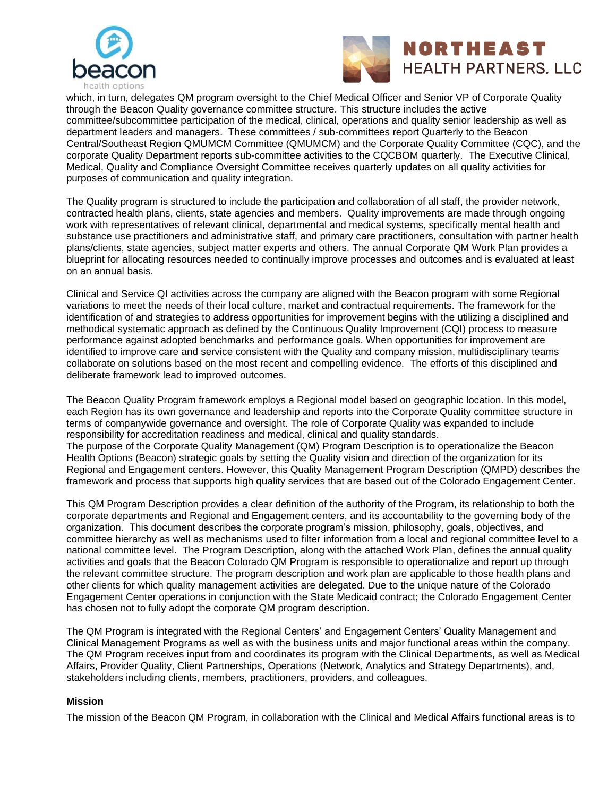



which, in turn, delegates QM program oversight to the Chief Medical Officer and Senior VP of Corporate Quality through the Beacon Quality governance committee structure. This structure includes the active committee/subcommittee participation of the medical, clinical, operations and quality senior leadership as well as department leaders and managers. These committees / sub-committees report Quarterly to the Beacon Central/Southeast Region QMUMCM Committee (QMUMCM) and the Corporate Quality Committee (CQC), and the corporate Quality Department reports sub-committee activities to the CQCBOM quarterly. The Executive Clinical, Medical, Quality and Compliance Oversight Committee receives quarterly updates on all quality activities for purposes of communication and quality integration.

The Quality program is structured to include the participation and collaboration of all staff, the provider network, contracted health plans, clients, state agencies and members. Quality improvements are made through ongoing work with representatives of relevant clinical, departmental and medical systems, specifically mental health and substance use practitioners and administrative staff, and primary care practitioners, consultation with partner health plans/clients, state agencies, subject matter experts and others. The annual Corporate QM Work Plan provides a blueprint for allocating resources needed to continually improve processes and outcomes and is evaluated at least on an annual basis.

Clinical and Service QI activities across the company are aligned with the Beacon program with some Regional variations to meet the needs of their local culture, market and contractual requirements. The framework for the identification of and strategies to address opportunities for improvement begins with the utilizing a disciplined and methodical systematic approach as defined by the Continuous Quality Improvement (CQI) process to measure performance against adopted benchmarks and performance goals. When opportunities for improvement are identified to improve care and service consistent with the Quality and company mission, multidisciplinary teams collaborate on solutions based on the most recent and compelling evidence. The efforts of this disciplined and deliberate framework lead to improved outcomes.

The Beacon Quality Program framework employs a Regional model based on geographic location. In this model, each Region has its own governance and leadership and reports into the Corporate Quality committee structure in terms of companywide governance and oversight. The role of Corporate Quality was expanded to include responsibility for accreditation readiness and medical, clinical and quality standards. The purpose of the Corporate Quality Management (QM) Program Description is to operationalize the Beacon Health Options (Beacon) strategic goals by setting the Quality vision and direction of the organization for its Regional and Engagement centers. However, this Quality Management Program Description (QMPD) describes the framework and process that supports high quality services that are based out of the Colorado Engagement Center.

This QM Program Description provides a clear definition of the authority of the Program, its relationship to both the corporate departments and Regional and Engagement centers, and its accountability to the governing body of the organization. This document describes the corporate program's mission, philosophy, goals, objectives, and committee hierarchy as well as mechanisms used to filter information from a local and regional committee level to a national committee level. The Program Description, along with the attached Work Plan, defines the annual quality activities and goals that the Beacon Colorado QM Program is responsible to operationalize and report up through the relevant committee structure. The program description and work plan are applicable to those health plans and other clients for which quality management activities are delegated. Due to the unique nature of the Colorado Engagement Center operations in conjunction with the State Medicaid contract; the Colorado Engagement Center has chosen not to fully adopt the corporate QM program description.

The QM Program is integrated with the Regional Centers' and Engagement Centers' Quality Management and Clinical Management Programs as well as with the business units and major functional areas within the company. The QM Program receives input from and coordinates its program with the Clinical Departments, as well as Medical Affairs, Provider Quality, Client Partnerships, Operations (Network, Analytics and Strategy Departments), and, stakeholders including clients, members, practitioners, providers, and colleagues.

#### **Mission**

The mission of the Beacon QM Program, in collaboration with the Clinical and Medical Affairs functional areas is to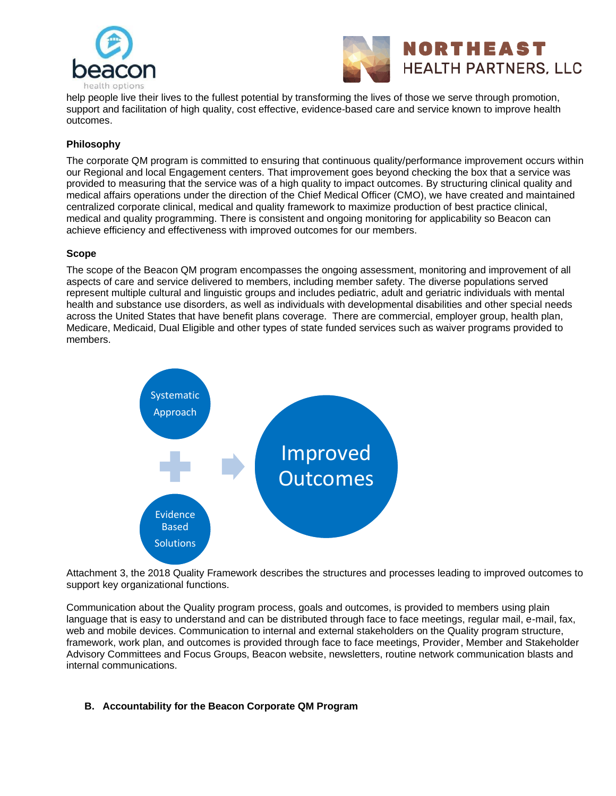



help people live their lives to the fullest potential by transforming the lives of those we serve through promotion, support and facilitation of high quality, cost effective, evidence-based care and service known to improve health outcomes.

# **Philosophy**

The corporate QM program is committed to ensuring that continuous quality/performance improvement occurs within our Regional and local Engagement centers. That improvement goes beyond checking the box that a service was provided to measuring that the service was of a high quality to impact outcomes. By structuring clinical quality and medical affairs operations under the direction of the Chief Medical Officer (CMO), we have created and maintained centralized corporate clinical, medical and quality framework to maximize production of best practice clinical, medical and quality programming. There is consistent and ongoing monitoring for applicability so Beacon can achieve efficiency and effectiveness with improved outcomes for our members.

## **Scope**

The scope of the Beacon QM program encompasses the ongoing assessment, monitoring and improvement of all aspects of care and service delivered to members, including member safety. The diverse populations served represent multiple cultural and linguistic groups and includes pediatric, adult and geriatric individuals with mental health and substance use disorders, as well as individuals with developmental disabilities and other special needs across the United States that have benefit plans coverage. There are commercial, employer group, health plan, Medicare, Medicaid, Dual Eligible and other types of state funded services such as waiver programs provided to members.



Attachment 3, the 2018 Quality Framework describes the structures and processes leading to improved outcomes to support key organizational functions.

Communication about the Quality program process, goals and outcomes, is provided to members using plain language that is easy to understand and can be distributed through face to face meetings, regular mail, e-mail, fax, web and mobile devices. Communication to internal and external stakeholders on the Quality program structure, framework, work plan, and outcomes is provided through face to face meetings, Provider, Member and Stakeholder Advisory Committees and Focus Groups, Beacon website, newsletters, routine network communication blasts and internal communications.

## **B. Accountability for the Beacon Corporate QM Program**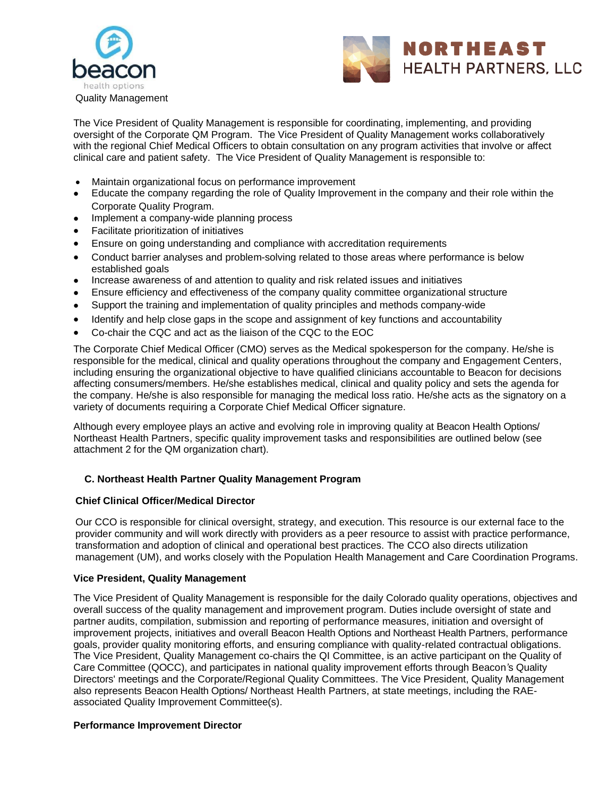



The Vice President of Quality Management is responsible for coordinating, implementing, and providing oversight of the Corporate QM Program. The Vice President of Quality Management works collaboratively with the regional Chief Medical Officers to obtain consultation on any program activities that involve or affect clinical care and patient safety. The Vice President of Quality Management is responsible to:

- Maintain organizational focus on performance improvement
- Educate the company regarding the role of Quality Improvement in the company and their role within the Corporate Quality Program.
- Implement a company-wide planning process
- Facilitate prioritization of initiatives
- Ensure on going understanding and compliance with accreditation requirements
- Conduct barrier analyses and problem-solving related to those areas where performance is below established goals
- Increase awareness of and attention to quality and risk related issues and initiatives
- Ensure efficiency and effectiveness of the company quality committee organizational structure
- Support the training and implementation of quality principles and methods company-wide
- Identify and help close gaps in the scope and assignment of key functions and accountability
- Co-chair the CQC and act as the liaison of the CQC to the EOC

The Corporate Chief Medical Officer (CMO) serves as the Medical spokesperson for the company. He/she is responsible for the medical, clinical and quality operations throughout the company and Engagement Centers, including ensuring the organizational objective to have qualified clinicians accountable to Beacon for decisions affecting consumers/members. He/she establishes medical, clinical and quality policy and sets the agenda for the company. He/she is also responsible for managing the medical loss ratio. He/she acts as the signatory on a variety of documents requiring a Corporate Chief Medical Officer signature.

Although every employee plays an active and evolving role in improving quality at Beacon Health Options/ Northeast Health Partners, specific quality improvement tasks and responsibilities are outlined below (see attachment 2 for the QM organization chart).

#### **C. Northeast Health Partner Quality Management Program**

#### **Chief Clinical Officer/Medical Director**

Our CCO is responsible for clinical oversight, strategy, and execution. This resource is our external face to the provider community and will work directly with providers as a peer resource to assist with practice performance, transformation and adoption of clinical and operational best practices. The CCO also directs utilization management (UM), and works closely with the Population Health Management and Care Coordination Programs.

#### **Vice President, Quality Management**

The Vice President of Quality Management is responsible for the daily Colorado quality operations, objectives and overall success of the quality management and improvement program. Duties include oversight of state and partner audits, compilation, submission and reporting of performance measures, initiation and oversight of improvement projects, initiatives and overall Beacon Health Options and Northeast Health Partners, performance goals, provider quality monitoring efforts, and ensuring compliance with quality-related contractual obligations. The Vice President, Quality Management co-chairs the QI Committee, is an active participant on the Quality of Care Committee (QOCC), and participates in national quality improvement efforts through Beacon*'*s Quality Directors' meetings and the Corporate/Regional Quality Committees. The Vice President, Quality Management also represents Beacon Health Options/ Northeast Health Partners, at state meetings, including the RAEassociated Quality Improvement Committee(s).

#### **Performance Improvement Director**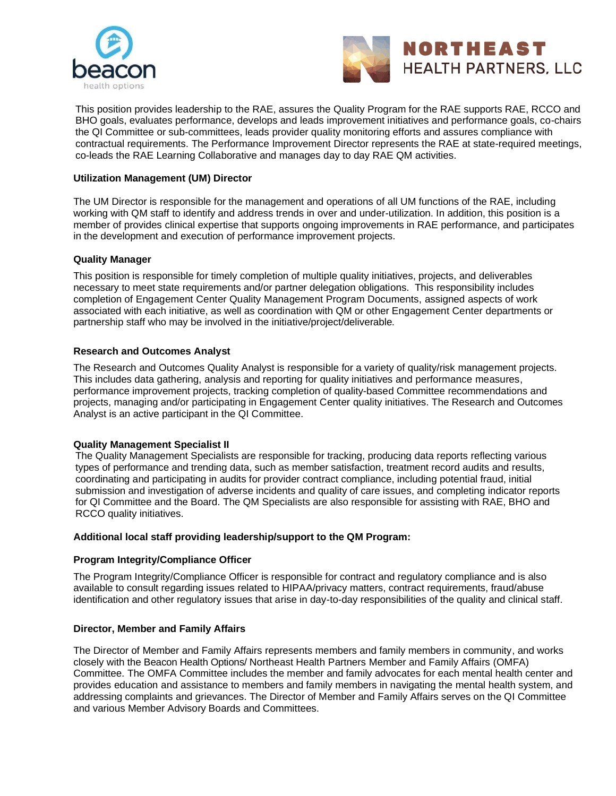



This position provides leadership to the RAE, assures the Quality Program for the RAE supports RAE, RCCO and BHO goals, evaluates performance, develops and leads improvement initiatives and performance goals, co-chairs the QI Committee or sub-committees, leads provider quality monitoring efforts and assures compliance with contractual requirements. The Performance Improvement Director represents the RAE at state-required meetings, co-leads the RAE Learning Collaborative and manages day to day RAE QM activities.

## **Utilization Management (UM) Director**

The UM Director is responsible for the management and operations of all UM functions of the RAE, including working with QM staff to identify and address trends in over and under-utilization. In addition, this position is a member of provides clinical expertise that supports ongoing improvements in RAE performance, and participates in the development and execution of performance improvement projects.

#### **Quality Manager**

This position is responsible for timely completion of multiple quality initiatives, projects, and deliverables necessary to meet state requirements and/or partner delegation obligations. This responsibility includes completion of Engagement Center Quality Management Program Documents, assigned aspects of work associated with each initiative, as well as coordination with QM or other Engagement Center departments or partnership staff who may be involved in the initiative/project/deliverable.

## **Research and Outcomes Analyst**

The Research and Outcomes Quality Analyst is responsible for a variety of quality/risk management projects. This includes data gathering, analysis and reporting for quality initiatives and performance measures, performance improvement projects, tracking completion of quality-based Committee recommendations and projects, managing and/or participating in Engagement Center quality initiatives. The Research and Outcomes Analyst is an active participant in the QI Committee.

#### **Quality Management Specialist II**

The Quality Management Specialists are responsible for tracking, producing data reports reflecting various types of performance and trending data, such as member satisfaction, treatment record audits and results, coordinating and participating in audits for provider contract compliance, including potential fraud, initial submission and investigation of adverse incidents and quality of care issues, and completing indicator reports for QI Committee and the Board. The QM Specialists are also responsible for assisting with RAE, BHO and RCCO quality initiatives.

### **Additional local staff providing leadership/support to the QM Program:**

#### **Program Integrity/Compliance Officer**

The Program Integrity/Compliance Officer is responsible for contract and regulatory compliance and is also available to consult regarding issues related to HIPAA/privacy matters, contract requirements, fraud/abuse identification and other regulatory issues that arise in day-to-day responsibilities of the quality and clinical staff.

#### **Director, Member and Family Affairs**

The Director of Member and Family Affairs represents members and family members in community, and works closely with the Beacon Health Options/ Northeast Health Partners Member and Family Affairs (OMFA) Committee. The OMFA Committee includes the member and family advocates for each mental health center and provides education and assistance to members and family members in navigating the mental health system, and addressing complaints and grievances. The Director of Member and Family Affairs serves on the QI Committee and various Member Advisory Boards and Committees.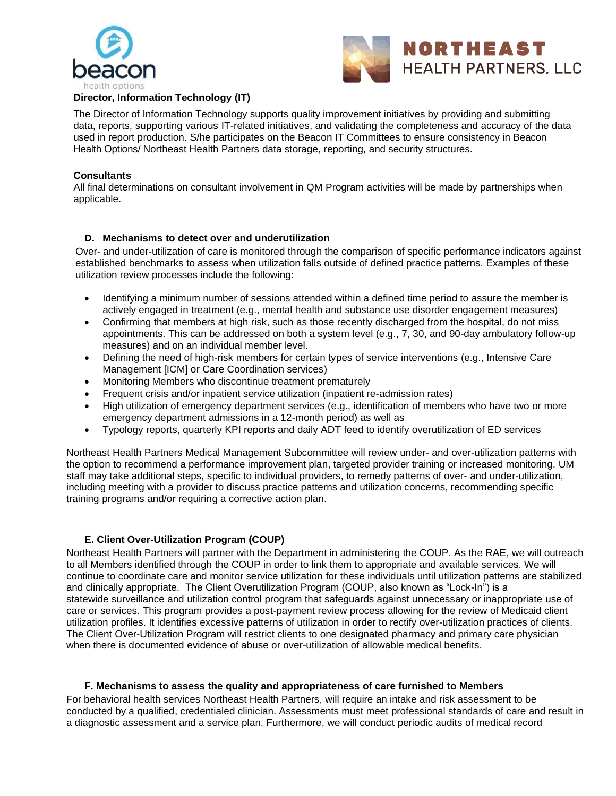



## **Director, Information Technology (IT)**

The Director of Information Technology supports quality improvement initiatives by providing and submitting data, reports, supporting various IT-related initiatives, and validating the completeness and accuracy of the data used in report production. S/he participates on the Beacon IT Committees to ensure consistency in Beacon Health Options/ Northeast Health Partners data storage, reporting, and security structures.

#### **Consultants**

All final determinations on consultant involvement in QM Program activities will be made by partnerships when applicable.

#### **D. Mechanisms to detect over and underutilization**

Over- and under-utilization of care is monitored through the comparison of specific performance indicators against established benchmarks to assess when utilization falls outside of defined practice patterns. Examples of these utilization review processes include the following:

- Identifying a minimum number of sessions attended within a defined time period to assure the member is actively engaged in treatment (e.g., mental health and substance use disorder engagement measures)
- Confirming that members at high risk, such as those recently discharged from the hospital, do not miss appointments. This can be addressed on both a system level (e.g., 7, 30, and 90-day ambulatory follow-up measures) and on an individual member level.
- Defining the need of high-risk members for certain types of service interventions (e.g., Intensive Care Management [ICM] or Care Coordination services)
- Monitoring Members who discontinue treatment prematurely
- Frequent crisis and/or inpatient service utilization (inpatient re-admission rates)
- High utilization of emergency department services (e.g., identification of members who have two or more emergency department admissions in a 12-month period) as well as
- Typology reports, quarterly KPI reports and daily ADT feed to identify overutilization of ED services

Northeast Health Partners Medical Management Subcommittee will review under- and over-utilization patterns with the option to recommend a performance improvement plan, targeted provider training or increased monitoring. UM staff may take additional steps, specific to individual providers, to remedy patterns of over- and under-utilization, including meeting with a provider to discuss practice patterns and utilization concerns, recommending specific training programs and/or requiring a corrective action plan.

#### **E. Client Over-Utilization Program (COUP)**

Northeast Health Partners will partner with the Department in administering the COUP. As the RAE, we will outreach to all Members identified through the COUP in order to link them to appropriate and available services. We will continue to coordinate care and monitor service utilization for these individuals until utilization patterns are stabilized and clinically appropriate. The Client Overutilization Program (COUP, also known as "Lock-In") is a statewide surveillance and utilization control program that safeguards against unnecessary or inappropriate use of care or services. This program provides a post-payment review process allowing for the review of Medicaid client utilization profiles. It identifies excessive patterns of utilization in order to rectify over-utilization practices of clients. The Client Over-Utilization Program will restrict clients to one designated pharmacy and primary care physician when there is documented evidence of abuse or over-utilization of allowable medical benefits.

#### **F. Mechanisms to assess the quality and appropriateness of care furnished to Members**

For behavioral health services Northeast Health Partners, will require an intake and risk assessment to be conducted by a qualified, credentialed clinician. Assessments must meet professional standards of care and result in a diagnostic assessment and a service plan. Furthermore, we will conduct periodic audits of medical record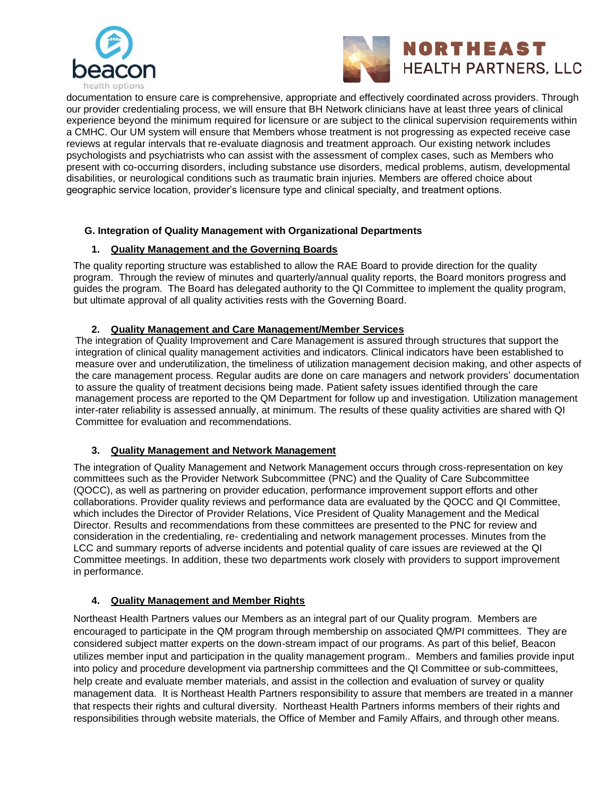



documentation to ensure care is comprehensive, appropriate and effectively coordinated across providers. Through our provider credentialing process, we will ensure that BH Network clinicians have at least three years of clinical experience beyond the minimum required for licensure or are subject to the clinical supervision requirements within a CMHC. Our UM system will ensure that Members whose treatment is not progressing as expected receive case reviews at regular intervals that re-evaluate diagnosis and treatment approach. Our existing network includes psychologists and psychiatrists who can assist with the assessment of complex cases, such as Members who present with co-occurring disorders, including substance use disorders, medical problems, autism, developmental disabilities, or neurological conditions such as traumatic brain injuries. Members are offered choice about geographic service location, provider's licensure type and clinical specialty, and treatment options.

## **G. Integration of Quality Management with Organizational Departments**

# **1. Quality Management and the Governing Boards**

The quality reporting structure was established to allow the RAE Board to provide direction for the quality program. Through the review of minutes and quarterly/annual quality reports, the Board monitors progress and guides the program. The Board has delegated authority to the QI Committee to implement the quality program, but ultimate approval of all quality activities rests with the Governing Board.

# **2. Quality Management and Care Management/Member Services**

The integration of Quality Improvement and Care Management is assured through structures that support the integration of clinical quality management activities and indicators. Clinical indicators have been established to measure over and underutilization, the timeliness of utilization management decision making, and other aspects of the care management process. Regular audits are done on care managers and network providers' documentation to assure the quality of treatment decisions being made. Patient safety issues identified through the care management process are reported to the QM Department for follow up and investigation. Utilization management inter-rater reliability is assessed annually, at minimum. The results of these quality activities are shared with QI Committee for evaluation and recommendations.

# **3. Quality Management and Network Management**

The integration of Quality Management and Network Management occurs through cross-representation on key committees such as the Provider Network Subcommittee (PNC) and the Quality of Care Subcommittee (QOCC), as well as partnering on provider education, performance improvement support efforts and other collaborations. Provider quality reviews and performance data are evaluated by the QOCC and QI Committee, which includes the Director of Provider Relations, Vice President of Quality Management and the Medical Director. Results and recommendations from these committees are presented to the PNC for review and consideration in the credentialing, re- credentialing and network management processes. Minutes from the LCC and summary reports of adverse incidents and potential quality of care issues are reviewed at the QI Committee meetings. In addition, these two departments work closely with providers to support improvement in performance.

# **4. Quality Management and Member Rights**

Northeast Health Partners values our Members as an integral part of our Quality program. Members are encouraged to participate in the QM program through membership on associated QM/PI committees. They are considered subject matter experts on the down-stream impact of our programs. As part of this belief, Beacon utilizes member input and participation in the quality management program.. Members and families provide input into policy and procedure development via partnership committees and the QI Committee or sub-committees, help create and evaluate member materials, and assist in the collection and evaluation of survey or quality management data. It is Northeast Health Partners responsibility to assure that members are treated in a manner that respects their rights and cultural diversity. Northeast Health Partners informs members of their rights and responsibilities through website materials, the Office of Member and Family Affairs, and through other means.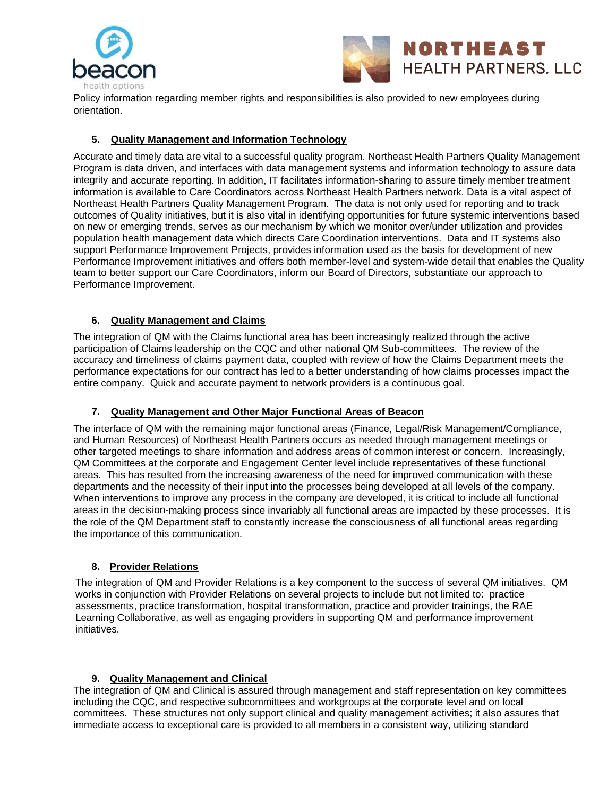



Policy information regarding member rights and responsibilities is also provided to new employees during orientation.

# **5. Quality Management and Information Technology**

Accurate and timely data are vital to a successful quality program. Northeast Health Partners Quality Management Program is data driven, and interfaces with data management systems and information technology to assure data integrity and accurate reporting. In addition, IT facilitates information-sharing to assure timely member treatment information is available to Care Coordinators across Northeast Health Partners network. Data is a vital aspect of Northeast Health Partners Quality Management Program. The data is not only used for reporting and to track outcomes of Quality initiatives, but it is also vital in identifying opportunities for future systemic interventions based on new or emerging trends, serves as our mechanism by which we monitor over/under utilization and provides population health management data which directs Care Coordination interventions. Data and IT systems also support Performance Improvement Projects, provides information used as the basis for development of new Performance Improvement initiatives and offers both member-level and system-wide detail that enables the Quality team to better support our Care Coordinators, inform our Board of Directors, substantiate our approach to Performance Improvement.

# **6. Quality Management and Claims**

The integration of QM with the Claims functional area has been increasingly realized through the active participation of Claims leadership on the CQC and other national QM Sub-committees. The review of the accuracy and timeliness of claims payment data, coupled with review of how the Claims Department meets the performance expectations for our contract has led to a better understanding of how claims processes impact the entire company. Quick and accurate payment to network providers is a continuous goal.

## **7. Quality Management and Other Major Functional Areas of Beacon**

The interface of QM with the remaining major functional areas (Finance, Legal/Risk Management/Compliance, and Human Resources) of Northeast Health Partners occurs as needed through management meetings or other targeted meetings to share information and address areas of common interest or concern. Increasingly, QM Committees at the corporate and Engagement Center level include representatives of these functional areas. This has resulted from the increasing awareness of the need for improved communication with these departments and the necessity of their input into the processes being developed at all levels of the company. When interventions to improve any process in the company are developed, it is critical to include all functional areas in the decision-making process since invariably all functional areas are impacted by these processes. It is the role of the QM Department staff to constantly increase the consciousness of all functional areas regarding the importance of this communication.

## **8. Provider Relations**

The integration of QM and Provider Relations is a key component to the success of several QM initiatives. QM works in conjunction with Provider Relations on several projects to include but not limited to: practice assessments, practice transformation, hospital transformation, practice and provider trainings, the RAE Learning Collaborative, as well as engaging providers in supporting QM and performance improvement initiatives.

## **9. Quality Management and Clinical**

The integration of QM and Clinical is assured through management and staff representation on key committees including the CQC, and respective subcommittees and workgroups at the corporate level and on local committees. These structures not only support clinical and quality management activities; it also assures that immediate access to exceptional care is provided to all members in a consistent way, utilizing standard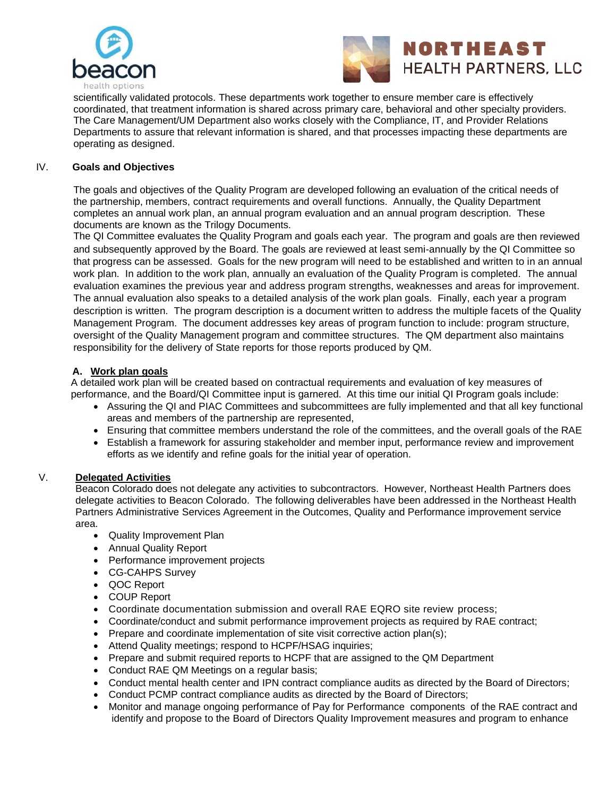



scientifically validated protocols. These departments work together to ensure member care is effectively coordinated, that treatment information is shared across primary care, behavioral and other specialty providers. The Care Management/UM Department also works closely with the Compliance, IT, and Provider Relations Departments to assure that relevant information is shared, and that processes impacting these departments are operating as designed.

## IV. **Goals and Objectives**

The goals and objectives of the Quality Program are developed following an evaluation of the critical needs of the partnership, members, contract requirements and overall functions. Annually, the Quality Department completes an annual work plan, an annual program evaluation and an annual program description. These documents are known as the Trilogy Documents.

The QI Committee evaluates the Quality Program and goals each year. The program and goals are then reviewed and subsequently approved by the Board. The goals are reviewed at least semi-annually by the QI Committee so that progress can be assessed. Goals for the new program will need to be established and written to in an annual work plan. In addition to the work plan, annually an evaluation of the Quality Program is completed. The annual evaluation examines the previous year and address program strengths, weaknesses and areas for improvement. The annual evaluation also speaks to a detailed analysis of the work plan goals. Finally, each year a program description is written. The program description is a document written to address the multiple facets of the Quality Management Program. The document addresses key areas of program function to include: program structure, oversight of the Quality Management program and committee structures. The QM department also maintains responsibility for the delivery of State reports for those reports produced by QM.

## **A. Work plan goals**

A detailed work plan will be created based on contractual requirements and evaluation of key measures of performance, and the Board/QI Committee input is garnered. At this time our initial QI Program goals include:

- Assuring the QI and PIAC Committees and subcommittees are fully implemented and that all key functional areas and members of the partnership are represented,
- Ensuring that committee members understand the role of the committees, and the overall goals of the RAE
- Establish a framework for assuring stakeholder and member input, performance review and improvement efforts as we identify and refine goals for the initial year of operation.

#### V. **Delegated Activities**

Beacon Colorado does not delegate any activities to subcontractors. However, Northeast Health Partners does delegate activities to Beacon Colorado. The following deliverables have been addressed in the Northeast Health Partners Administrative Services Agreement in the Outcomes, Quality and Performance improvement service area.

- Quality Improvement Plan
- Annual Quality Report
- Performance improvement projects
- CG-CAHPS Survey
- QOC Report
- COUP Report
- Coordinate documentation submission and overall RAE EQRO site review process;
- Coordinate/conduct and submit performance improvement projects as required by RAE contract;
- Prepare and coordinate implementation of site visit corrective action plan(s);
- Attend Quality meetings; respond to HCPF/HSAG inquiries;
- Prepare and submit required reports to HCPF that are assigned to the QM Department
- Conduct RAE QM Meetings on a regular basis;
- Conduct mental health center and IPN contract compliance audits as directed by the Board of Directors;
- Conduct PCMP contract compliance audits as directed by the Board of Directors;
- Monitor and manage ongoing performance of Pay for Performance components of the RAE contract and identify and propose to the Board of Directors Quality Improvement measures and program to enhance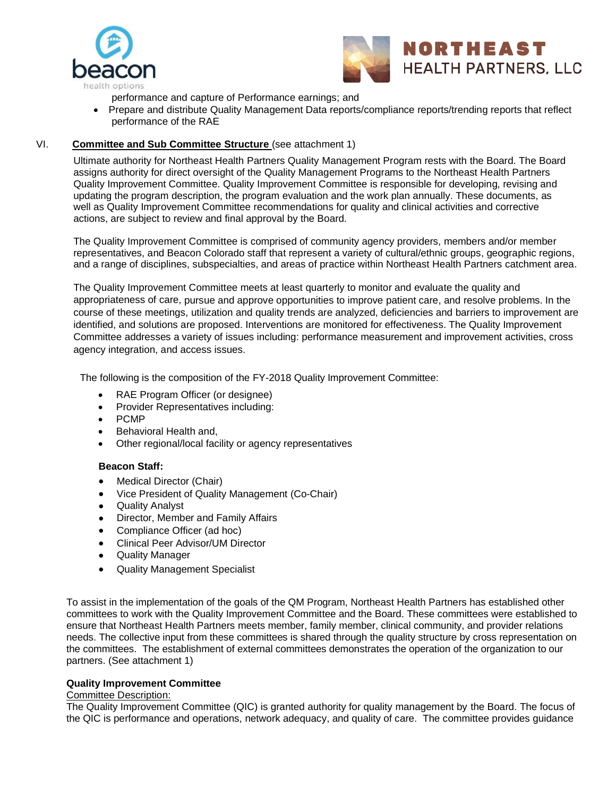



performance and capture of Performance earnings; and

• Prepare and distribute Quality Management Data reports/compliance reports/trending reports that reflect performance of the RAE

## VI. **Committee and Sub Committee Structure** (see attachment 1)

Ultimate authority for Northeast Health Partners Quality Management Program rests with the Board. The Board assigns authority for direct oversight of the Quality Management Programs to the Northeast Health Partners Quality Improvement Committee. Quality Improvement Committee is responsible for developing, revising and updating the program description, the program evaluation and the work plan annually. These documents, as well as Quality Improvement Committee recommendations for quality and clinical activities and corrective actions, are subject to review and final approval by the Board.

The Quality Improvement Committee is comprised of community agency providers, members and/or member representatives, and Beacon Colorado staff that represent a variety of cultural/ethnic groups, geographic regions, and a range of disciplines, subspecialties, and areas of practice within Northeast Health Partners catchment area.

The Quality Improvement Committee meets at least quarterly to monitor and evaluate the quality and appropriateness of care, pursue and approve opportunities to improve patient care, and resolve problems. In the course of these meetings, utilization and quality trends are analyzed, deficiencies and barriers to improvement are identified, and solutions are proposed. Interventions are monitored for effectiveness. The Quality Improvement Committee addresses a variety of issues including: performance measurement and improvement activities, cross agency integration, and access issues.

The following is the composition of the FY-2018 Quality Improvement Committee:

- RAE Program Officer (or designee)
- Provider Representatives including:
- PCMP
- Behavioral Health and,
- Other regional/local facility or agency representatives

#### **Beacon Staff:**

- Medical Director (Chair)
- Vice President of Quality Management (Co-Chair)
- Quality Analyst
- Director, Member and Family Affairs
- Compliance Officer (ad hoc)
- Clinical Peer Advisor/UM Director
- Quality Manager
- Quality Management Specialist

To assist in the implementation of the goals of the QM Program, Northeast Health Partners has established other committees to work with the Quality Improvement Committee and the Board. These committees were established to ensure that Northeast Health Partners meets member, family member, clinical community, and provider relations needs. The collective input from these committees is shared through the quality structure by cross representation on the committees. The establishment of external committees demonstrates the operation of the organization to our partners. (See attachment 1)

### **Quality Improvement Committee**

#### Committee Description:

The Quality Improvement Committee (QIC) is granted authority for quality management by the Board. The focus of the QIC is performance and operations, network adequacy, and quality of care. The committee provides guidance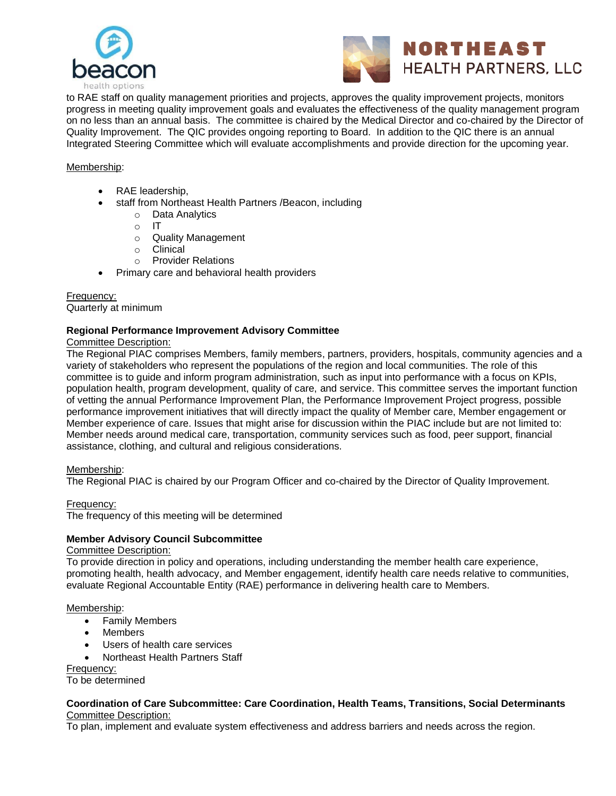



to RAE staff on quality management priorities and projects, approves the quality improvement projects, monitors progress in meeting quality improvement goals and evaluates the effectiveness of the quality management program on no less than an annual basis. The committee is chaired by the Medical Director and co-chaired by the Director of Quality Improvement. The QIC provides ongoing reporting to Board. In addition to the QIC there is an annual Integrated Steering Committee which will evaluate accomplishments and provide direction for the upcoming year.

## Membership:

- RAE leadership,
- staff from Northeast Health Partners /Beacon, including
	- o Data Analytics
	- $\circ$  IT
	- o Quality Management
	- o Clinical
	- o Provider Relations
- Primary care and behavioral health providers

Frequency: Quarterly at minimum

#### **Regional Performance Improvement Advisory Committee**

Committee Description:

The Regional PIAC comprises Members, family members, partners, providers, hospitals, community agencies and a variety of stakeholders who represent the populations of the region and local communities. The role of this committee is to guide and inform program administration, such as input into performance with a focus on KPIs, population health, program development, quality of care, and service. This committee serves the important function of vetting the annual Performance Improvement Plan, the Performance Improvement Project progress, possible performance improvement initiatives that will directly impact the quality of Member care, Member engagement or Member experience of care. Issues that might arise for discussion within the PIAC include but are not limited to: Member needs around medical care, transportation, community services such as food, peer support, financial assistance, clothing, and cultural and religious considerations.

Membership:

The Regional PIAC is chaired by our Program Officer and co-chaired by the Director of Quality Improvement.

Frequency:

The frequency of this meeting will be determined

#### **Member Advisory Council Subcommittee**

Committee Description:

To provide direction in policy and operations, including understanding the member health care experience, promoting health, health advocacy, and Member engagement, identify health care needs relative to communities, evaluate Regional Accountable Entity (RAE) performance in delivering health care to Members.

Membership:

- Family Members
- Members
- Users of health care services
- Northeast Health Partners Staff

Frequency:

To be determined

### **Coordination of Care Subcommittee: Care Coordination, Health Teams, Transitions, Social Determinants** Committee Description:

To plan, implement and evaluate system effectiveness and address barriers and needs across the region.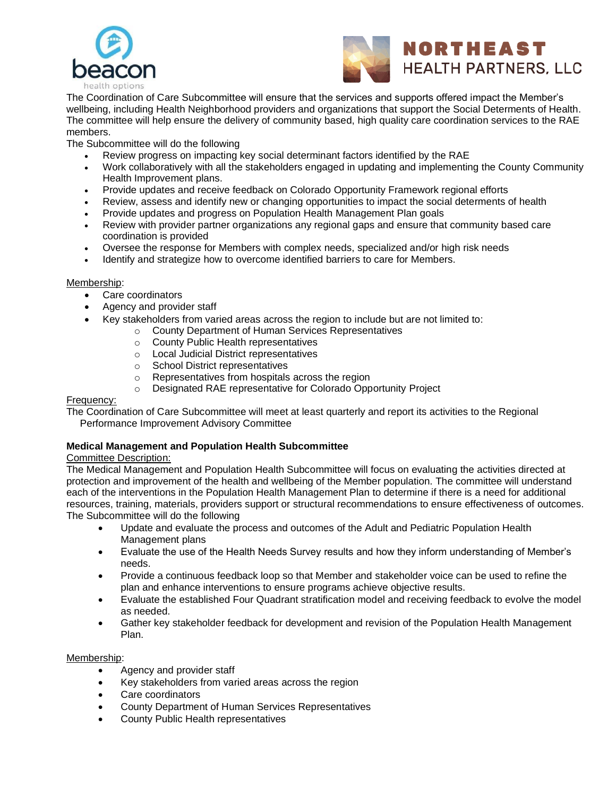



The Coordination of Care Subcommittee will ensure that the services and supports offered impact the Member's wellbeing, including Health Neighborhood providers and organizations that support the Social Determents of Health. The committee will help ensure the delivery of community based, high quality care coordination services to the RAE members.

The Subcommittee will do the following

- Review progress on impacting key social determinant factors identified by the RAE
- Work collaboratively with all the stakeholders engaged in updating and implementing the County Community Health Improvement plans.
- Provide updates and receive feedback on Colorado Opportunity Framework regional efforts
- Review, assess and identify new or changing opportunities to impact the social determents of health
- Provide updates and progress on Population Health Management Plan goals
- Review with provider partner organizations any regional gaps and ensure that community based care coordination is provided
- Oversee the response for Members with complex needs, specialized and/or high risk needs
- Identify and strategize how to overcome identified barriers to care for Members.

#### Membership:

- Care coordinators
- Agency and provider staff
- Key stakeholders from varied areas across the region to include but are not limited to:
	- o County Department of Human Services Representatives
		- o County Public Health representatives
		- o Local Judicial District representatives
		- o School District representatives
		- o Representatives from hospitals across the region
		- o Designated RAE representative for Colorado Opportunity Project

### Frequency:

The Coordination of Care Subcommittee will meet at least quarterly and report its activities to the Regional Performance Improvement Advisory Committee

#### **Medical Management and Population Health Subcommittee**

### Committee Description:

The Medical Management and Population Health Subcommittee will focus on evaluating the activities directed at protection and improvement of the health and wellbeing of the Member population. The committee will understand each of the interventions in the Population Health Management Plan to determine if there is a need for additional resources, training, materials, providers support or structural recommendations to ensure effectiveness of outcomes. The Subcommittee will do the following

- Update and evaluate the process and outcomes of the Adult and Pediatric Population Health Management plans
- Evaluate the use of the Health Needs Survey results and how they inform understanding of Member's needs.
- Provide a continuous feedback loop so that Member and stakeholder voice can be used to refine the plan and enhance interventions to ensure programs achieve objective results.
- Evaluate the established Four Quadrant stratification model and receiving feedback to evolve the model as needed.
- Gather key stakeholder feedback for development and revision of the Population Health Management Plan.

## Membership:

- Agency and provider staff
- Key stakeholders from varied areas across the region
- Care coordinators
- County Department of Human Services Representatives
- County Public Health representatives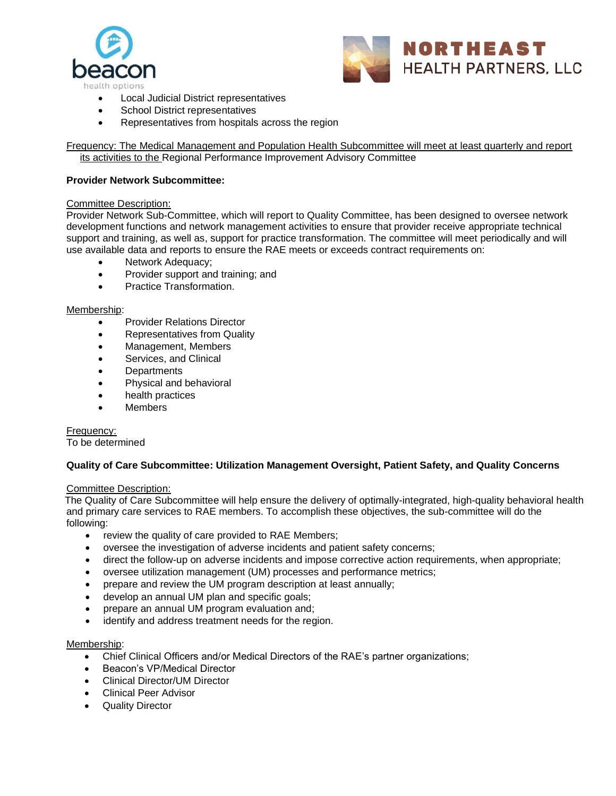



- Local Judicial District representatives
- School District representatives
- Representatives from hospitals across the region

Frequency: The Medical Management and Population Health Subcommittee will meet at least quarterly and report its activities to the Regional Performance Improvement Advisory Committee

### **Provider Network Subcommittee:**

#### Committee Description:

Provider Network Sub-Committee, which will report to Quality Committee, has been designed to oversee network development functions and network management activities to ensure that provider receive appropriate technical support and training, as well as, support for practice transformation. The committee will meet periodically and will use available data and reports to ensure the RAE meets or exceeds contract requirements on:

- Network Adequacy;
- Provider support and training; and
- Practice Transformation.

#### Membership:

- Provider Relations Director
- Representatives from Quality
- Management, Members
- Services, and Clinical
- **Departments**
- Physical and behavioral
- health practices
- **Members**

## Frequency:

To be determined

#### **Quality of Care Subcommittee: Utilization Management Oversight, Patient Safety, and Quality Concerns**

#### Committee Description:

The Quality of Care Subcommittee will help ensure the delivery of optimally-integrated, high-quality behavioral health and primary care services to RAE members. To accomplish these objectives, the sub-committee will do the following:

- review the quality of care provided to RAE Members;
- oversee the investigation of adverse incidents and patient safety concerns;
- direct the follow-up on adverse incidents and impose corrective action requirements, when appropriate;
- oversee utilization management (UM) processes and performance metrics;
- prepare and review the UM program description at least annually;
- develop an annual UM plan and specific goals;
- prepare an annual UM program evaluation and;
- identify and address treatment needs for the region.

#### Membership:

- Chief Clinical Officers and/or Medical Directors of the RAE's partner organizations;
- Beacon's VP/Medical Director
- Clinical Director/UM Director
- Clinical Peer Advisor
- Quality Director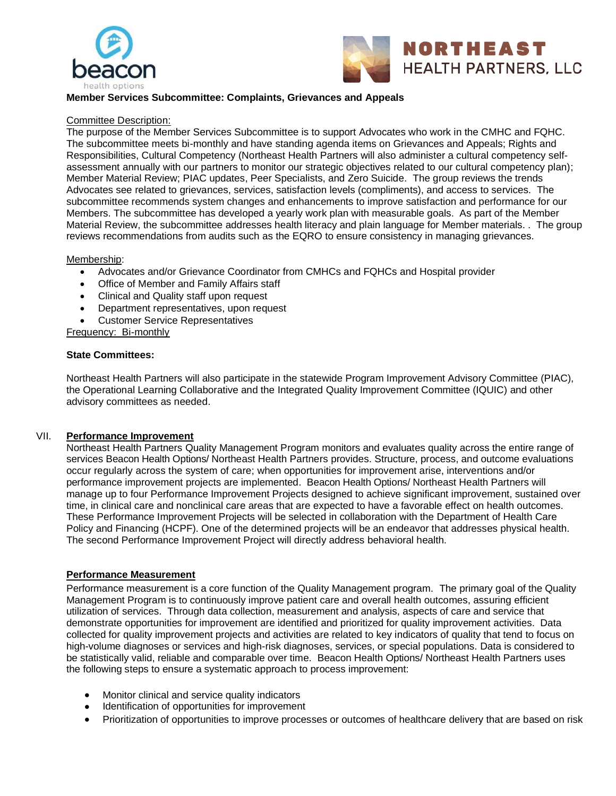



## **Member Services Subcommittee: Complaints, Grievances and Appeals**

#### Committee Description:

The purpose of the Member Services Subcommittee is to support Advocates who work in the CMHC and FQHC. The subcommittee meets bi-monthly and have standing agenda items on Grievances and Appeals; Rights and Responsibilities, Cultural Competency (Northeast Health Partners will also administer a cultural competency selfassessment annually with our partners to monitor our strategic objectives related to our cultural competency plan); Member Material Review; PIAC updates, Peer Specialists, and Zero Suicide. The group reviews the trends Advocates see related to grievances, services, satisfaction levels (compliments), and access to services. The subcommittee recommends system changes and enhancements to improve satisfaction and performance for our Members. The subcommittee has developed a yearly work plan with measurable goals. As part of the Member Material Review, the subcommittee addresses health literacy and plain language for Member materials. . The group reviews recommendations from audits such as the EQRO to ensure consistency in managing grievances.

#### Membership:

- Advocates and/or Grievance Coordinator from CMHCs and FQHCs and Hospital provider
- Office of Member and Family Affairs staff
- Clinical and Quality staff upon request
- Department representatives, upon request
- Customer Service Representatives

Frequency: Bi-monthly

#### **State Committees:**

Northeast Health Partners will also participate in the statewide Program Improvement Advisory Committee (PIAC), the Operational Learning Collaborative and the Integrated Quality Improvement Committee (IQUIC) and other advisory committees as needed.

#### VII. **Performance Improvement**

Northeast Health Partners Quality Management Program monitors and evaluates quality across the entire range of services Beacon Health Options/ Northeast Health Partners provides. Structure, process, and outcome evaluations occur regularly across the system of care; when opportunities for improvement arise, interventions and/or performance improvement projects are implemented. Beacon Health Options/ Northeast Health Partners will manage up to four Performance Improvement Projects designed to achieve significant improvement, sustained over time, in clinical care and nonclinical care areas that are expected to have a favorable effect on health outcomes. These Performance Improvement Projects will be selected in collaboration with the Department of Health Care Policy and Financing (HCPF). One of the determined projects will be an endeavor that addresses physical health. The second Performance Improvement Project will directly address behavioral health.

## **Performance Measurement**

Performance measurement is a core function of the Quality Management program. The primary goal of the Quality Management Program is to continuously improve patient care and overall health outcomes, assuring efficient utilization of services. Through data collection, measurement and analysis, aspects of care and service that demonstrate opportunities for improvement are identified and prioritized for quality improvement activities. Data collected for quality improvement projects and activities are related to key indicators of quality that tend to focus on high-volume diagnoses or services and high-risk diagnoses, services, or special populations. Data is considered to be statistically valid, reliable and comparable over time. Beacon Health Options/ Northeast Health Partners uses the following steps to ensure a systematic approach to process improvement:

- Monitor clinical and service quality indicators
- Identification of opportunities for improvement
- Prioritization of opportunities to improve processes or outcomes of healthcare delivery that are based on risk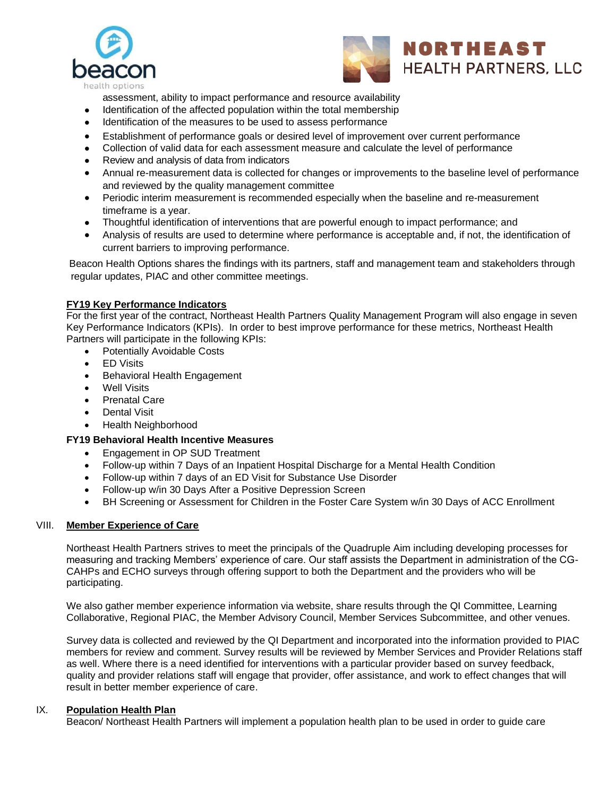



assessment, ability to impact performance and resource availability

- Identification of the affected population within the total membership
- Identification of the measures to be used to assess performance
- Establishment of performance goals or desired level of improvement over current performance
- Collection of valid data for each assessment measure and calculate the level of performance
- Review and analysis of data from indicators
- Annual re-measurement data is collected for changes or improvements to the baseline level of performance and reviewed by the quality management committee
- Periodic interim measurement is recommended especially when the baseline and re-measurement timeframe is a year.
- Thoughtful identification of interventions that are powerful enough to impact performance; and
- Analysis of results are used to determine where performance is acceptable and, if not, the identification of current barriers to improving performance.

Beacon Health Options shares the findings with its partners, staff and management team and stakeholders through regular updates, PIAC and other committee meetings.

## **FY19 Key Performance Indicators**

For the first year of the contract, Northeast Health Partners Quality Management Program will also engage in seven Key Performance Indicators (KPIs). In order to best improve performance for these metrics, Northeast Health Partners will participate in the following KPIs:

- Potentially Avoidable Costs
- **ED Visits**
- Behavioral Health Engagement
- **Well Visits**
- Prenatal Care
- Dental Visit
- Health Neighborhood

## **FY19 Behavioral Health Incentive Measures**

- Engagement in OP SUD Treatment
- Follow-up within 7 Days of an Inpatient Hospital Discharge for a Mental Health Condition
- Follow-up within 7 days of an ED Visit for Substance Use Disorder
- Follow-up w/in 30 Days After a Positive Depression Screen
- BH Screening or Assessment for Children in the Foster Care System w/in 30 Days of ACC Enrollment

## VIII. **Member Experience of Care**

Northeast Health Partners strives to meet the principals of the Quadruple Aim including developing processes for measuring and tracking Members' experience of care. Our staff assists the Department in administration of the CG-CAHPs and ECHO surveys through offering support to both the Department and the providers who will be participating.

We also gather member experience information via website, share results through the QI Committee, Learning Collaborative, Regional PIAC, the Member Advisory Council, Member Services Subcommittee, and other venues.

Survey data is collected and reviewed by the QI Department and incorporated into the information provided to PIAC members for review and comment. Survey results will be reviewed by Member Services and Provider Relations staff as well. Where there is a need identified for interventions with a particular provider based on survey feedback, quality and provider relations staff will engage that provider, offer assistance, and work to effect changes that will result in better member experience of care.

#### IX. **Population Health Plan**

Beacon/ Northeast Health Partners will implement a population health plan to be used in order to guide care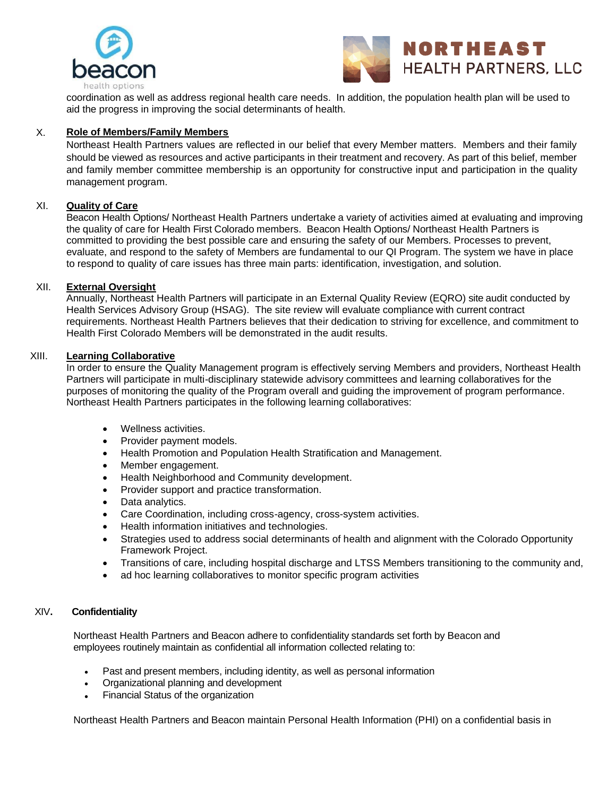



coordination as well as address regional health care needs. In addition, the population health plan will be used to aid the progress in improving the social determinants of health.

## X. **Role of Members/Family Members**

Northeast Health Partners values are reflected in our belief that every Member matters. Members and their family should be viewed as resources and active participants in their treatment and recovery. As part of this belief, member and family member committee membership is an opportunity for constructive input and participation in the quality management program.

#### XI. **Quality of Care**

Beacon Health Options/ Northeast Health Partners undertake a variety of activities aimed at evaluating and improving the quality of care for Health First Colorado members. Beacon Health Options/ Northeast Health Partners is committed to providing the best possible care and ensuring the safety of our Members. Processes to prevent, evaluate, and respond to the safety of Members are fundamental to our QI Program. The system we have in place to respond to quality of care issues has three main parts: identification, investigation, and solution.

#### XII. **External Oversight**

Annually, Northeast Health Partners will participate in an External Quality Review (EQRO) site audit conducted by Health Services Advisory Group (HSAG). The site review will evaluate compliance with current contract requirements. Northeast Health Partners believes that their dedication to striving for excellence, and commitment to Health First Colorado Members will be demonstrated in the audit results.

#### XIII. **Learning Collaborative**

In order to ensure the Quality Management program is effectively serving Members and providers, Northeast Health Partners will participate in multi-disciplinary statewide advisory committees and learning collaboratives for the purposes of monitoring the quality of the Program overall and guiding the improvement of program performance. Northeast Health Partners participates in the following learning collaboratives:

- Wellness activities.
- Provider payment models.
- Health Promotion and Population Health Stratification and Management.
- Member engagement.
- Health Neighborhood and Community development.
- Provider support and practice transformation.
- Data analytics.
- Care Coordination, including cross-agency, cross-system activities.
- Health information initiatives and technologies.
- Strategies used to address social determinants of health and alignment with the Colorado Opportunity Framework Project.
- Transitions of care, including hospital discharge and LTSS Members transitioning to the community and,
- ad hoc learning collaboratives to monitor specific program activities

#### XIV**. Confidentiality**

Northeast Health Partners and Beacon adhere to confidentiality standards set forth by Beacon and employees routinely maintain as confidential all information collected relating to:

- Past and present members, including identity, as well as personal information
- Organizational planning and development
- Financial Status of the organization

Northeast Health Partners and Beacon maintain Personal Health Information (PHI) on a confidential basis in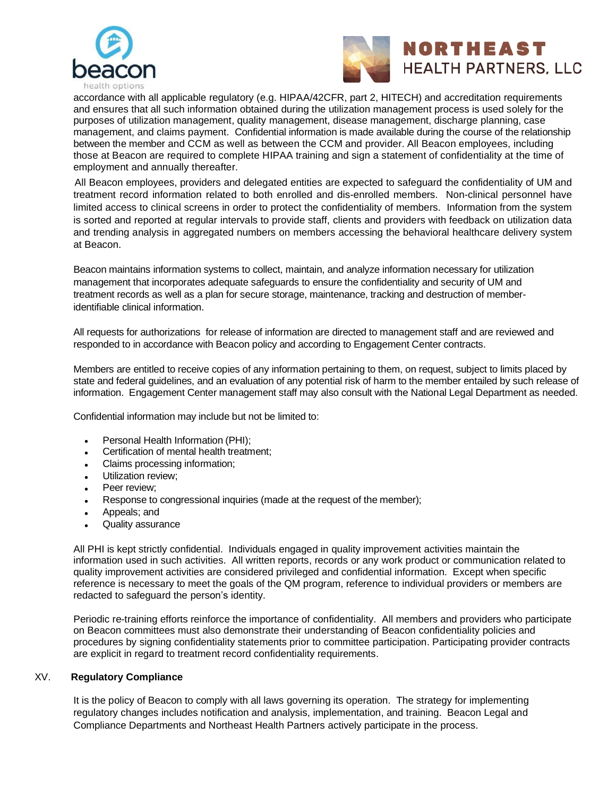



accordance with all applicable regulatory (e.g. HIPAA/42CFR, part 2, HITECH) and accreditation requirements and ensures that all such information obtained during the utilization management process is used solely for the purposes of utilization management, quality management, disease management, discharge planning, case management, and claims payment. Confidential information is made available during the course of the relationship between the member and CCM as well as between the CCM and provider. All Beacon employees, including those at Beacon are required to complete HIPAA training and sign a statement of confidentiality at the time of employment and annually thereafter.

 All Beacon employees, providers and delegated entities are expected to safeguard the confidentiality of UM and treatment record information related to both enrolled and dis-enrolled members. Non-clinical personnel have limited access to clinical screens in order to protect the confidentiality of members. Information from the system is sorted and reported at regular intervals to provide staff, clients and providers with feedback on utilization data and trending analysis in aggregated numbers on members accessing the behavioral healthcare delivery system at Beacon.

Beacon maintains information systems to collect, maintain, and analyze information necessary for utilization management that incorporates adequate safeguards to ensure the confidentiality and security of UM and treatment records as well as a plan for secure storage, maintenance, tracking and destruction of memberidentifiable clinical information.

All requests for authorizations for release of information are directed to management staff and are reviewed and responded to in accordance with Beacon policy and according to Engagement Center contracts.

Members are entitled to receive copies of any information pertaining to them, on request, subject to limits placed by state and federal guidelines, and an evaluation of any potential risk of harm to the member entailed by such release of information. Engagement Center management staff may also consult with the National Legal Department as needed.

Confidential information may include but not be limited to:

- Personal Health Information (PHI);
- Certification of mental health treatment;
- Claims processing information;
- Utilization review;
- Peer review:
- Response to congressional inquiries (made at the request of the member);
- Appeals; and
- Quality assurance

All PHI is kept strictly confidential. Individuals engaged in quality improvement activities maintain the information used in such activities. All written reports, records or any work product or communication related to quality improvement activities are considered privileged and confidential information. Except when specific reference is necessary to meet the goals of the QM program, reference to individual providers or members are redacted to safeguard the person's identity.

Periodic re-training efforts reinforce the importance of confidentiality. All members and providers who participate on Beacon committees must also demonstrate their understanding of Beacon confidentiality policies and procedures by signing confidentiality statements prior to committee participation. Participating provider contracts are explicit in regard to treatment record confidentiality requirements.

#### XV. **Regulatory Compliance**

It is the policy of Beacon to comply with all laws governing its operation. The strategy for implementing regulatory changes includes notification and analysis, implementation, and training. Beacon Legal and Compliance Departments and Northeast Health Partners actively participate in the process.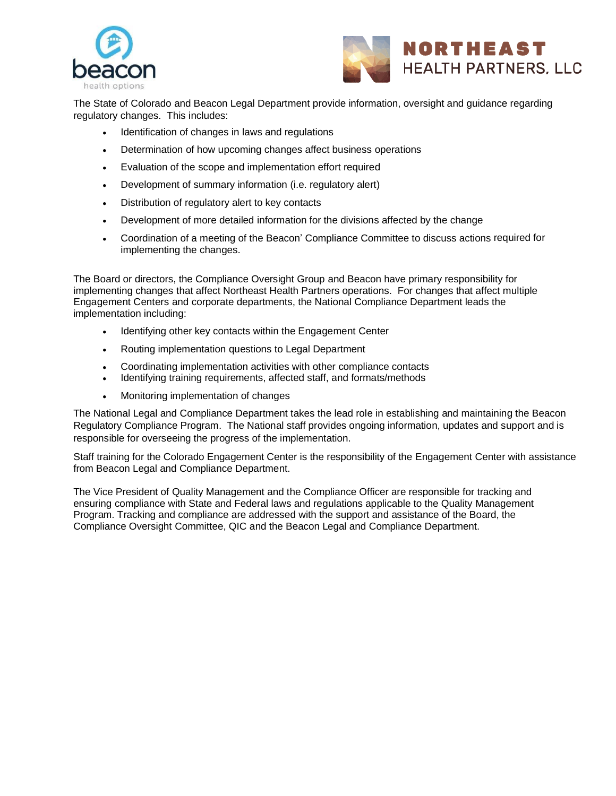



The State of Colorado and Beacon Legal Department provide information, oversight and guidance regarding regulatory changes. This includes:

- Identification of changes in laws and regulations
- Determination of how upcoming changes affect business operations
- Evaluation of the scope and implementation effort required
- Development of summary information (i.e. regulatory alert)
- Distribution of regulatory alert to key contacts
- Development of more detailed information for the divisions affected by the change
- Coordination of a meeting of the Beacon' Compliance Committee to discuss actions required for implementing the changes.

The Board or directors, the Compliance Oversight Group and Beacon have primary responsibility for implementing changes that affect Northeast Health Partners operations. For changes that affect multiple Engagement Centers and corporate departments, the National Compliance Department leads the implementation including:

- Identifying other key contacts within the Engagement Center
- Routing implementation questions to Legal Department
- Coordinating implementation activities with other compliance contacts
- Identifying training requirements, affected staff, and formats/methods
- Monitoring implementation of changes

The National Legal and Compliance Department takes the lead role in establishing and maintaining the Beacon Regulatory Compliance Program. The National staff provides ongoing information, updates and support and is responsible for overseeing the progress of the implementation.

Staff training for the Colorado Engagement Center is the responsibility of the Engagement Center with assistance from Beacon Legal and Compliance Department.

The Vice President of Quality Management and the Compliance Officer are responsible for tracking and ensuring compliance with State and Federal laws and regulations applicable to the Quality Management Program. Tracking and compliance are addressed with the support and assistance of the Board, the Compliance Oversight Committee, QIC and the Beacon Legal and Compliance Department.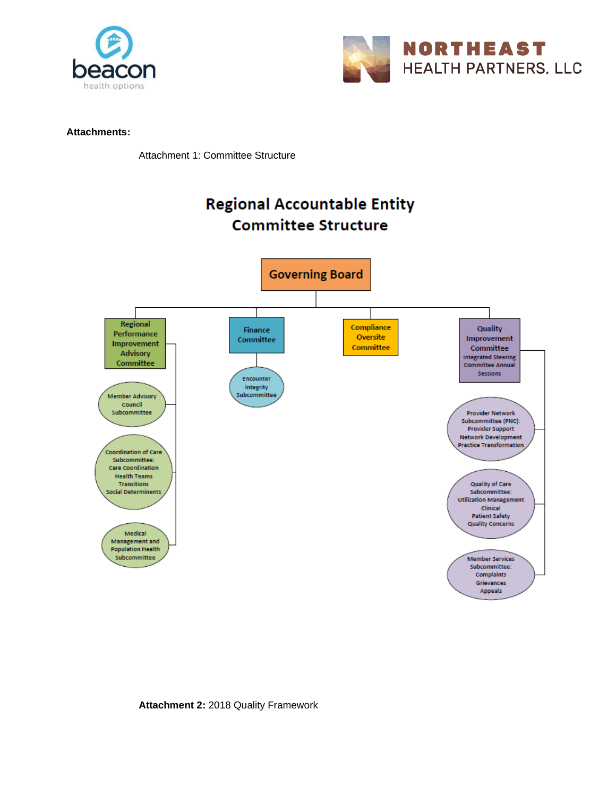



## **Attachments:**

Attachment 1: Committee Structure



**Attachment 2:** 2018 Quality Framework